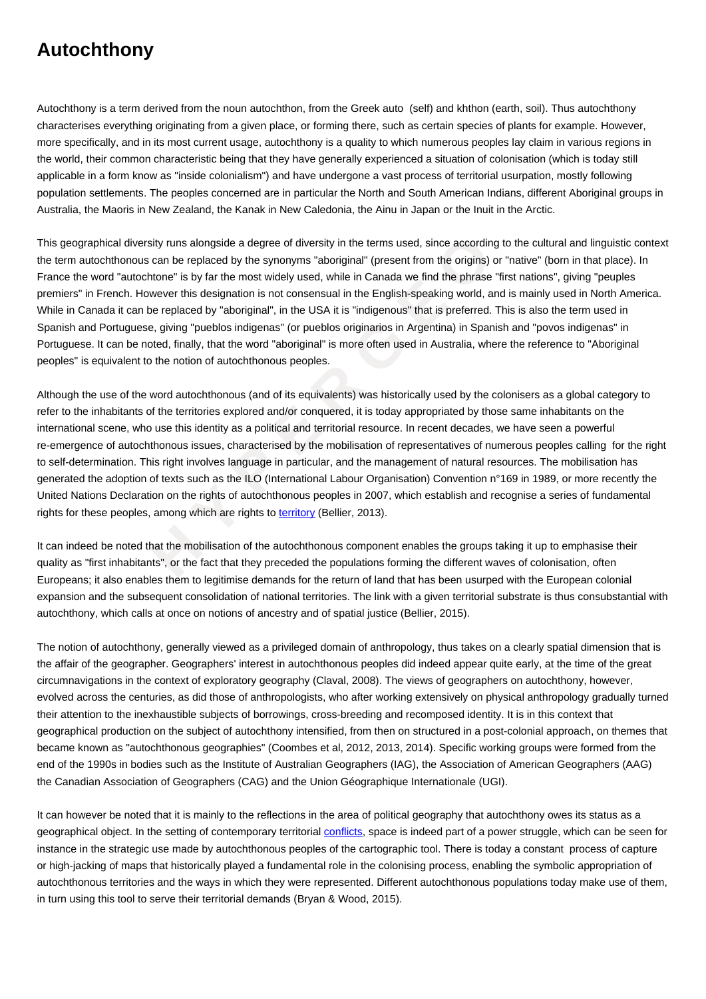Autochthony is a term derived from the noun autochthon, from the Greek auto (self) and khthon (earth, soil). Thus autochthony characterises everything originating from a given place, or forming there, such as certain species of plants for example. However, more specifically, and in its most current usage, autochthony is a quality to which numerous peoples lay claim in various regions in the world, their common characteristic being that they have generally experienced a situation of colonisation (which is today still applicable in a form know as "inside colonialism") and have undergone a vast process of territorial usurpation, mostly following population settlements. The peoples concerned are in particular the North and South American Indians, different Aboriginal groups in Australia, the Maoris in New Zealand, the Kanak in New Caledonia, the Ainu in Japan or the Inuit in the Arctic.

**Autochthony**

This geographical diversity runs alongside a degree of diversity in the terms used, since according to the cultural and linguistic context the term autochthonous can be replaced by the synonyms "aboriginal" (present from the origins) or "native" (born in that place). In France the word "autochtone" is by far the most widely used, while in Canada we find the phrase "first nations", giving "peuples premiers" in French. However this designation is not consensual in the English-speaking world, and is mainly used in North America. While in Canada it can be replaced by "aboriginal", in the USA it is "indigenous" that is preferred. This is also the term used in Spanish and Portuguese, giving "pueblos indigenas" (or pueblos originarios in Argentina) in Spanish and "povos indigenas" in Portuguese. It can be noted, finally, that the word "aboriginal" is more often used in Australia, where the reference to "Aboriginal peoples" is equivalent to the notion of autochthonous peoples.

**II** diversity runs alongside a degree of diversity in the terms used, since according to onous can be replaced by the synonyms "aboriginal" (present from the origins) or "recordincle" is by far the most widely used, whi Although the use of the word autochthonous (and of its equivalents) was historically used by the colonisers as a global category to refer to the inhabitants of the territories explored and/or conquered, it is today appropriated by those same inhabitants on the international scene, who use this identity as a political and territorial resource. In recent decades, we have seen a powerful re-emergence of autochthonous issues, characterised by the mobilisation of representatives of numerous peoples calling for the right to self-determination. This right involves language in particular, and the management of natural resources. The mobilisation has generated the adoption of texts such as the ILO (International Labour Organisation) Convention n°169 in 1989, or more recently the United Nations Declaration on the rights of autochthonous peoples in 2007, which establish and recognise a series of fundamental rights for these peoples, among which are rights to territory (Bellier, 2013).

It can indeed be noted that the mobilisation of the autochthonous component enables the groups taking it up to emphasise their quality as "first inhabitants", or the fact that they preceded the populations forming the different waves of colonisation, often Europeans; it also enables them to legitimise demands for the return of land that has been usurped with the European colonial expansion and the subsequent consolidation of national territories. The link with a given territorial substrate is thus consubstantial with autochthony, which calls at once on notions of ancestry and of spatial justice (Bellier, 2015).

The notion of autochthony, generally viewed as a privileged domain of anthropology, thus takes on a clearly spatial dimension that is the affair of the geographer. Geographers' interest in autochthonous peoples did indeed appear quite early, at the time of the great circumnavigations in the context of exploratory geography (Claval, 2008). The views of geographers on autochthony, however, evolved across the centuries, as did those of anthropologists, who after working extensively on physical anthropology gradually turned their attention to the inexhaustible subjects of borrowings, cross-breeding and recomposed identity. It is in this context that geographical production on the subject of autochthony intensified, from then on structured in a post-colonial approach, on themes that became known as "autochthonous geographies" (Coombes et al, 2012, 2013, 2014). Specific working groups were formed from the end of the 1990s in bodies such as the Institute of Australian Geographers (IAG), the Association of American Geographers (AAG) the Canadian Association of Geographers (CAG) and the Union Géographique Internationale (UGI).

It can however be noted that it is mainly to the reflections in the area of political geography that autochthony owes its status as a geographical object. In the setting of contemporary territorial *conflicts*, space is indeed part of a power struggle, which can be seen for instance in the strategic use made by autochthonous peoples of the cartographic tool. There is today a constant process of capture or high-jacking of maps that historically played a fundamental role in the colonising process, enabling the symbolic appropriation of autochthonous territories and the ways in which they were represented. Different autochthonous populations today make use of them, in turn using this tool to serve their territorial demands (Brya[n & Wood](https://wiki.parisgeo.cnrs.fr/?p=601), 2015).